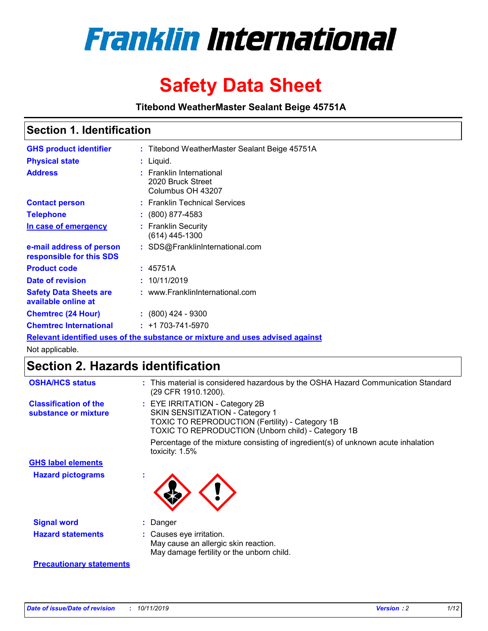

# **Safety Data Sheet**

**Titebond WeatherMaster Sealant Beige 45751A**

### **Section 1. Identification**

| <b>GHS product identifier</b>                        | : Titebond WeatherMaster Sealant Beige 45751A                                 |
|------------------------------------------------------|-------------------------------------------------------------------------------|
| <b>Physical state</b>                                | : Liquid.                                                                     |
| <b>Address</b>                                       | : Franklin International<br>2020 Bruck Street<br>Columbus OH 43207            |
| <b>Contact person</b>                                | : Franklin Technical Services                                                 |
| <b>Telephone</b>                                     | $\colon$ (800) 877-4583                                                       |
| In case of emergency                                 | : Franklin Security<br>(614) 445-1300                                         |
| e-mail address of person<br>responsible for this SDS | : SDS@FranklinInternational.com                                               |
| <b>Product code</b>                                  | : 45751A                                                                      |
| Date of revision                                     | : 10/11/2019                                                                  |
| <b>Safety Data Sheets are</b><br>available online at | : www.FranklinInternational.com                                               |
| <b>Chemtrec (24 Hour)</b>                            | $\div$ (800) 424 - 9300                                                       |
| <b>Chemtrec International</b>                        | $: +1703 - 741 - 5970$                                                        |
|                                                      | Relevant identified uses of the substance or mixture and uses advised against |

Not applicable.

## **Section 2. Hazards identification**

| <b>OSHA/HCS status</b>                               | : This material is considered hazardous by the OSHA Hazard Communication Standard<br>(29 CFR 1910.1200).                                                                                 |
|------------------------------------------------------|------------------------------------------------------------------------------------------------------------------------------------------------------------------------------------------|
| <b>Classification of the</b><br>substance or mixture | : EYE IRRITATION - Category 2B<br>SKIN SENSITIZATION - Category 1<br><b>TOXIC TO REPRODUCTION (Fertility) - Category 1B</b><br><b>TOXIC TO REPRODUCTION (Unborn child) - Category 1B</b> |
|                                                      | Percentage of the mixture consisting of ingredient(s) of unknown acute inhalation<br>toxicity: $1.5\%$                                                                                   |
| <b>GHS label elements</b>                            |                                                                                                                                                                                          |
| <b>Hazard pictograms</b>                             |                                                                                                                                                                                          |
| <b>Signal word</b>                                   | : Danger                                                                                                                                                                                 |
| <b>Hazard statements</b>                             | : Causes eye irritation.<br>May cause an allergic skin reaction.<br>May damage fertility or the unborn child.                                                                            |
| <b>Precautionary statements</b>                      |                                                                                                                                                                                          |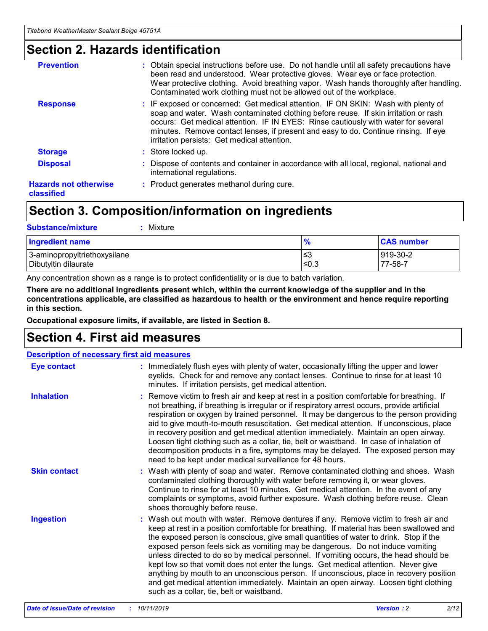### **Section 2. Hazards identification**

| <b>Prevention</b>                          | : Obtain special instructions before use. Do not handle until all safety precautions have<br>been read and understood. Wear protective gloves. Wear eye or face protection.<br>Wear protective clothing. Avoid breathing vapor. Wash hands thoroughly after handling.<br>Contaminated work clothing must not be allowed out of the workplace.                                                        |
|--------------------------------------------|------------------------------------------------------------------------------------------------------------------------------------------------------------------------------------------------------------------------------------------------------------------------------------------------------------------------------------------------------------------------------------------------------|
| <b>Response</b>                            | : IF exposed or concerned: Get medical attention. IF ON SKIN: Wash with plenty of<br>soap and water. Wash contaminated clothing before reuse. If skin irritation or rash<br>occurs: Get medical attention. IF IN EYES: Rinse cautiously with water for several<br>minutes. Remove contact lenses, if present and easy to do. Continue rinsing. If eye<br>irritation persists: Get medical attention. |
| <b>Storage</b>                             | : Store locked up.                                                                                                                                                                                                                                                                                                                                                                                   |
| <b>Disposal</b>                            | : Dispose of contents and container in accordance with all local, regional, national and<br>international regulations.                                                                                                                                                                                                                                                                               |
| <b>Hazards not otherwise</b><br>classified | : Product generates methanol during cure.                                                                                                                                                                                                                                                                                                                                                            |
|                                            |                                                                                                                                                                                                                                                                                                                                                                                                      |

## **Section 3. Composition/information on ingredients**

| <b>Substance/mixture</b><br>Mixture                  |                   |                     |
|------------------------------------------------------|-------------------|---------------------|
| <b>Ingredient name</b>                               | $\frac{9}{6}$     | <b>CAS number</b>   |
| 3-aminopropyltriethoxysilane<br>Dibutyltin dilaurate | l≤3<br>$\leq 0.3$ | 919-30-2<br>77-58-7 |

Any concentration shown as a range is to protect confidentiality or is due to batch variation.

**There are no additional ingredients present which, within the current knowledge of the supplier and in the concentrations applicable, are classified as hazardous to health or the environment and hence require reporting in this section.**

**Occupational exposure limits, if available, are listed in Section 8.**

### **Section 4. First aid measures**

| <b>Description of necessary first aid measures</b> |                                                                                                                                                                                                                                                                                                                                                                                                                                                                                                                                                                                                                                                                                                                                                                           |  |  |  |
|----------------------------------------------------|---------------------------------------------------------------------------------------------------------------------------------------------------------------------------------------------------------------------------------------------------------------------------------------------------------------------------------------------------------------------------------------------------------------------------------------------------------------------------------------------------------------------------------------------------------------------------------------------------------------------------------------------------------------------------------------------------------------------------------------------------------------------------|--|--|--|
| <b>Eye contact</b>                                 | : Immediately flush eyes with plenty of water, occasionally lifting the upper and lower<br>eyelids. Check for and remove any contact lenses. Continue to rinse for at least 10<br>minutes. If irritation persists, get medical attention.                                                                                                                                                                                                                                                                                                                                                                                                                                                                                                                                 |  |  |  |
| <b>Inhalation</b>                                  | : Remove victim to fresh air and keep at rest in a position comfortable for breathing. If<br>not breathing, if breathing is irregular or if respiratory arrest occurs, provide artificial<br>respiration or oxygen by trained personnel. It may be dangerous to the person providing<br>aid to give mouth-to-mouth resuscitation. Get medical attention. If unconscious, place<br>in recovery position and get medical attention immediately. Maintain an open airway.<br>Loosen tight clothing such as a collar, tie, belt or waistband. In case of inhalation of<br>decomposition products in a fire, symptoms may be delayed. The exposed person may<br>need to be kept under medical surveillance for 48 hours.                                                       |  |  |  |
| <b>Skin contact</b>                                | : Wash with plenty of soap and water. Remove contaminated clothing and shoes. Wash<br>contaminated clothing thoroughly with water before removing it, or wear gloves.<br>Continue to rinse for at least 10 minutes. Get medical attention. In the event of any<br>complaints or symptoms, avoid further exposure. Wash clothing before reuse. Clean<br>shoes thoroughly before reuse.                                                                                                                                                                                                                                                                                                                                                                                     |  |  |  |
| <b>Ingestion</b>                                   | : Wash out mouth with water. Remove dentures if any. Remove victim to fresh air and<br>keep at rest in a position comfortable for breathing. If material has been swallowed and<br>the exposed person is conscious, give small quantities of water to drink. Stop if the<br>exposed person feels sick as vomiting may be dangerous. Do not induce vomiting<br>unless directed to do so by medical personnel. If vomiting occurs, the head should be<br>kept low so that vomit does not enter the lungs. Get medical attention. Never give<br>anything by mouth to an unconscious person. If unconscious, place in recovery position<br>and get medical attention immediately. Maintain an open airway. Loosen tight clothing<br>such as a collar, tie, belt or waistband. |  |  |  |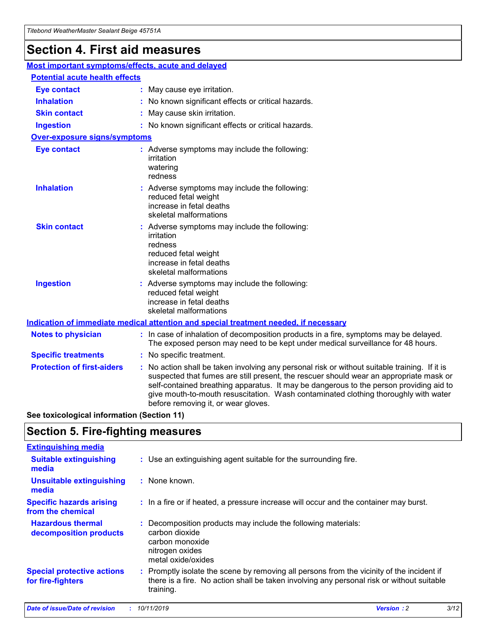## **Section 4. First aid measures**

| Most important symptoms/effects, acute and delayed |  |                                                                                                                                                                                                                                                                                                                                                                                                                 |
|----------------------------------------------------|--|-----------------------------------------------------------------------------------------------------------------------------------------------------------------------------------------------------------------------------------------------------------------------------------------------------------------------------------------------------------------------------------------------------------------|
| <b>Potential acute health effects</b>              |  |                                                                                                                                                                                                                                                                                                                                                                                                                 |
| <b>Eye contact</b>                                 |  | : May cause eye irritation.                                                                                                                                                                                                                                                                                                                                                                                     |
| <b>Inhalation</b>                                  |  | : No known significant effects or critical hazards.                                                                                                                                                                                                                                                                                                                                                             |
| <b>Skin contact</b>                                |  | : May cause skin irritation.                                                                                                                                                                                                                                                                                                                                                                                    |
| <b>Ingestion</b>                                   |  | : No known significant effects or critical hazards.                                                                                                                                                                                                                                                                                                                                                             |
| <b>Over-exposure signs/symptoms</b>                |  |                                                                                                                                                                                                                                                                                                                                                                                                                 |
| <b>Eye contact</b>                                 |  | : Adverse symptoms may include the following:<br>irritation<br>watering<br>redness                                                                                                                                                                                                                                                                                                                              |
| <b>Inhalation</b>                                  |  | : Adverse symptoms may include the following:<br>reduced fetal weight<br>increase in fetal deaths<br>skeletal malformations                                                                                                                                                                                                                                                                                     |
| <b>Skin contact</b>                                |  | : Adverse symptoms may include the following:<br>irritation<br>redness<br>reduced fetal weight<br>increase in fetal deaths<br>skeletal malformations                                                                                                                                                                                                                                                            |
| <b>Ingestion</b>                                   |  | : Adverse symptoms may include the following:<br>reduced fetal weight<br>increase in fetal deaths<br>skeletal malformations                                                                                                                                                                                                                                                                                     |
|                                                    |  | <b>Indication of immediate medical attention and special treatment needed, if necessary</b>                                                                                                                                                                                                                                                                                                                     |
| <b>Notes to physician</b>                          |  | : In case of inhalation of decomposition products in a fire, symptoms may be delayed.<br>The exposed person may need to be kept under medical surveillance for 48 hours.                                                                                                                                                                                                                                        |
| <b>Specific treatments</b>                         |  | : No specific treatment.                                                                                                                                                                                                                                                                                                                                                                                        |
| <b>Protection of first-aiders</b>                  |  | : No action shall be taken involving any personal risk or without suitable training. If it is<br>suspected that fumes are still present, the rescuer should wear an appropriate mask or<br>self-contained breathing apparatus. It may be dangerous to the person providing aid to<br>give mouth-to-mouth resuscitation. Wash contaminated clothing thoroughly with water<br>before removing it, or wear gloves. |

**See toxicological information (Section 11)**

### **Section 5. Fire-fighting measures**

| <b>Extinguishing media</b>                             |                                                                                                                                                                                                     |
|--------------------------------------------------------|-----------------------------------------------------------------------------------------------------------------------------------------------------------------------------------------------------|
| <b>Suitable extinguishing</b><br>media                 | : Use an extinguishing agent suitable for the surrounding fire.                                                                                                                                     |
| <b>Unsuitable extinguishing</b><br>media               | : None known.                                                                                                                                                                                       |
| <b>Specific hazards arising</b><br>from the chemical   | : In a fire or if heated, a pressure increase will occur and the container may burst.                                                                                                               |
| <b>Hazardous thermal</b><br>decomposition products     | : Decomposition products may include the following materials:<br>carbon dioxide<br>carbon monoxide<br>nitrogen oxides<br>metal oxide/oxides                                                         |
| <b>Special protective actions</b><br>for fire-fighters | : Promptly isolate the scene by removing all persons from the vicinity of the incident if<br>there is a fire. No action shall be taken involving any personal risk or without suitable<br>training. |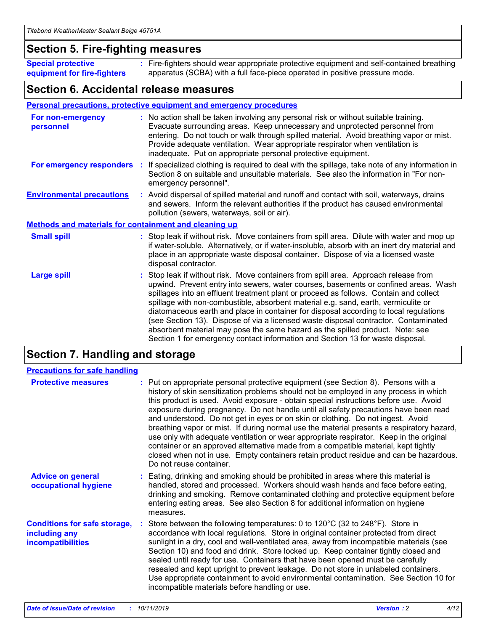### **Section 5. Fire-fighting measures**

**Special protective equipment for fire-fighters** Fire-fighters should wear appropriate protective equipment and self-contained breathing **:** apparatus (SCBA) with a full face-piece operated in positive pressure mode.

### **Section 6. Accidental release measures**

### **Personal precautions, protective equipment and emergency procedures**

| For non-emergency<br>personnel                               | : No action shall be taken involving any personal risk or without suitable training.<br>Evacuate surrounding areas. Keep unnecessary and unprotected personnel from<br>entering. Do not touch or walk through spilled material. Avoid breathing vapor or mist.<br>Provide adequate ventilation. Wear appropriate respirator when ventilation is<br>inadequate. Put on appropriate personal protective equipment.                                                                                                                                                                                                                                                                                             |
|--------------------------------------------------------------|--------------------------------------------------------------------------------------------------------------------------------------------------------------------------------------------------------------------------------------------------------------------------------------------------------------------------------------------------------------------------------------------------------------------------------------------------------------------------------------------------------------------------------------------------------------------------------------------------------------------------------------------------------------------------------------------------------------|
|                                                              | For emergency responders : If specialized clothing is required to deal with the spillage, take note of any information in<br>Section 8 on suitable and unsuitable materials. See also the information in "For non-<br>emergency personnel".                                                                                                                                                                                                                                                                                                                                                                                                                                                                  |
| <b>Environmental precautions</b>                             | : Avoid dispersal of spilled material and runoff and contact with soil, waterways, drains<br>and sewers. Inform the relevant authorities if the product has caused environmental<br>pollution (sewers, waterways, soil or air).                                                                                                                                                                                                                                                                                                                                                                                                                                                                              |
| <b>Methods and materials for containment and cleaning up</b> |                                                                                                                                                                                                                                                                                                                                                                                                                                                                                                                                                                                                                                                                                                              |
| <b>Small spill</b>                                           | : Stop leak if without risk. Move containers from spill area. Dilute with water and mop up<br>if water-soluble. Alternatively, or if water-insoluble, absorb with an inert dry material and<br>place in an appropriate waste disposal container. Dispose of via a licensed waste<br>disposal contractor.                                                                                                                                                                                                                                                                                                                                                                                                     |
| <b>Large spill</b>                                           | : Stop leak if without risk. Move containers from spill area. Approach release from<br>upwind. Prevent entry into sewers, water courses, basements or confined areas. Wash<br>spillages into an effluent treatment plant or proceed as follows. Contain and collect<br>spillage with non-combustible, absorbent material e.g. sand, earth, vermiculite or<br>diatomaceous earth and place in container for disposal according to local regulations<br>(see Section 13). Dispose of via a licensed waste disposal contractor. Contaminated<br>absorbent material may pose the same hazard as the spilled product. Note: see<br>Section 1 for emergency contact information and Section 13 for waste disposal. |

## **Section 7. Handling and storage**

| <b>Precautions for safe handling</b>                                             |                                                                                                                                                                                                                                                                                                                                                                                                                                                                                                                                                                                                                                                                                                                                                                                                                                                  |
|----------------------------------------------------------------------------------|--------------------------------------------------------------------------------------------------------------------------------------------------------------------------------------------------------------------------------------------------------------------------------------------------------------------------------------------------------------------------------------------------------------------------------------------------------------------------------------------------------------------------------------------------------------------------------------------------------------------------------------------------------------------------------------------------------------------------------------------------------------------------------------------------------------------------------------------------|
| <b>Protective measures</b>                                                       | : Put on appropriate personal protective equipment (see Section 8). Persons with a<br>history of skin sensitization problems should not be employed in any process in which<br>this product is used. Avoid exposure - obtain special instructions before use. Avoid<br>exposure during pregnancy. Do not handle until all safety precautions have been read<br>and understood. Do not get in eyes or on skin or clothing. Do not ingest. Avoid<br>breathing vapor or mist. If during normal use the material presents a respiratory hazard,<br>use only with adequate ventilation or wear appropriate respirator. Keep in the original<br>container or an approved alternative made from a compatible material, kept tightly<br>closed when not in use. Empty containers retain product residue and can be hazardous.<br>Do not reuse container. |
| <b>Advice on general</b><br>occupational hygiene                                 | : Eating, drinking and smoking should be prohibited in areas where this material is<br>handled, stored and processed. Workers should wash hands and face before eating,<br>drinking and smoking. Remove contaminated clothing and protective equipment before<br>entering eating areas. See also Section 8 for additional information on hygiene<br>measures.                                                                                                                                                                                                                                                                                                                                                                                                                                                                                    |
| <b>Conditions for safe storage,</b><br>including any<br><b>incompatibilities</b> | : Store between the following temperatures: 0 to 120 $\degree$ C (32 to 248 $\degree$ F). Store in<br>accordance with local regulations. Store in original container protected from direct<br>sunlight in a dry, cool and well-ventilated area, away from incompatible materials (see<br>Section 10) and food and drink. Store locked up. Keep container tightly closed and<br>sealed until ready for use. Containers that have been opened must be carefully<br>resealed and kept upright to prevent leakage. Do not store in unlabeled containers.<br>Use appropriate containment to avoid environmental contamination. See Section 10 for<br>incompatible materials before handling or use.                                                                                                                                                   |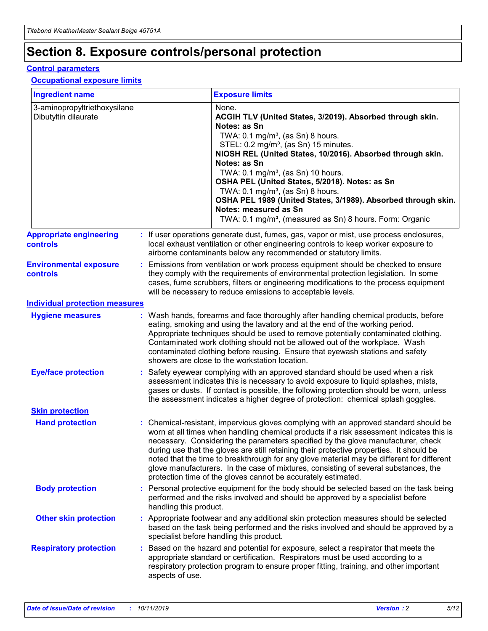## **Section 8. Exposure controls/personal protection**

### **Control parameters**

### **Occupational exposure limits**

| <b>Ingredient name</b>                               |    |                        | <b>Exposure limits</b>                                                                                                                                                                                                                                                                                                                                                                                                                                                                                                                                                                                                 |
|------------------------------------------------------|----|------------------------|------------------------------------------------------------------------------------------------------------------------------------------------------------------------------------------------------------------------------------------------------------------------------------------------------------------------------------------------------------------------------------------------------------------------------------------------------------------------------------------------------------------------------------------------------------------------------------------------------------------------|
| 3-aminopropyltriethoxysilane<br>Dibutyltin dilaurate |    |                        | None.<br>ACGIH TLV (United States, 3/2019). Absorbed through skin.<br>Notes: as Sn<br>TWA: $0.1 \text{ mg/m}^3$ , (as Sn) 8 hours.<br>STEL: 0.2 mg/m <sup>3</sup> , (as Sn) 15 minutes.<br>NIOSH REL (United States, 10/2016). Absorbed through skin.<br>Notes: as Sn<br>TWA: 0.1 mg/m <sup>3</sup> , (as Sn) 10 hours.<br>OSHA PEL (United States, 5/2018). Notes: as Sn<br>TWA: $0.1 \text{ mg/m}^3$ , (as Sn) 8 hours.<br>OSHA PEL 1989 (United States, 3/1989). Absorbed through skin.<br>Notes: measured as Sn<br>TWA: 0.1 mg/m <sup>3</sup> , (measured as Sn) 8 hours. Form: Organic                            |
| <b>Appropriate engineering</b><br>controls           |    |                        | : If user operations generate dust, fumes, gas, vapor or mist, use process enclosures,<br>local exhaust ventilation or other engineering controls to keep worker exposure to<br>airborne contaminants below any recommended or statutory limits.                                                                                                                                                                                                                                                                                                                                                                       |
| <b>Environmental exposure</b><br>controls            |    |                        | Emissions from ventilation or work process equipment should be checked to ensure<br>they comply with the requirements of environmental protection legislation. In some<br>cases, fume scrubbers, filters or engineering modifications to the process equipment<br>will be necessary to reduce emissions to acceptable levels.                                                                                                                                                                                                                                                                                          |
| <b>Individual protection measures</b>                |    |                        |                                                                                                                                                                                                                                                                                                                                                                                                                                                                                                                                                                                                                        |
| <b>Hygiene measures</b>                              |    |                        | : Wash hands, forearms and face thoroughly after handling chemical products, before<br>eating, smoking and using the lavatory and at the end of the working period.<br>Appropriate techniques should be used to remove potentially contaminated clothing.<br>Contaminated work clothing should not be allowed out of the workplace. Wash<br>contaminated clothing before reusing. Ensure that eyewash stations and safety<br>showers are close to the workstation location.                                                                                                                                            |
| <b>Eye/face protection</b>                           |    |                        | : Safety eyewear complying with an approved standard should be used when a risk<br>assessment indicates this is necessary to avoid exposure to liquid splashes, mists,<br>gases or dusts. If contact is possible, the following protection should be worn, unless<br>the assessment indicates a higher degree of protection: chemical splash goggles.                                                                                                                                                                                                                                                                  |
| <b>Skin protection</b>                               |    |                        |                                                                                                                                                                                                                                                                                                                                                                                                                                                                                                                                                                                                                        |
| <b>Hand protection</b>                               |    |                        | : Chemical-resistant, impervious gloves complying with an approved standard should be<br>worn at all times when handling chemical products if a risk assessment indicates this is<br>necessary. Considering the parameters specified by the glove manufacturer, check<br>during use that the gloves are still retaining their protective properties. It should be<br>noted that the time to breakthrough for any glove material may be different for different<br>glove manufacturers. In the case of mixtures, consisting of several substances, the<br>protection time of the gloves cannot be accurately estimated. |
| <b>Body protection</b>                               |    | handling this product. | Personal protective equipment for the body should be selected based on the task being<br>performed and the risks involved and should be approved by a specialist before                                                                                                                                                                                                                                                                                                                                                                                                                                                |
| <b>Other skin protection</b>                         |    |                        | : Appropriate footwear and any additional skin protection measures should be selected<br>based on the task being performed and the risks involved and should be approved by a<br>specialist before handling this product.                                                                                                                                                                                                                                                                                                                                                                                              |
| <b>Respiratory protection</b>                        | ÷. | aspects of use.        | Based on the hazard and potential for exposure, select a respirator that meets the<br>appropriate standard or certification. Respirators must be used according to a<br>respiratory protection program to ensure proper fitting, training, and other important                                                                                                                                                                                                                                                                                                                                                         |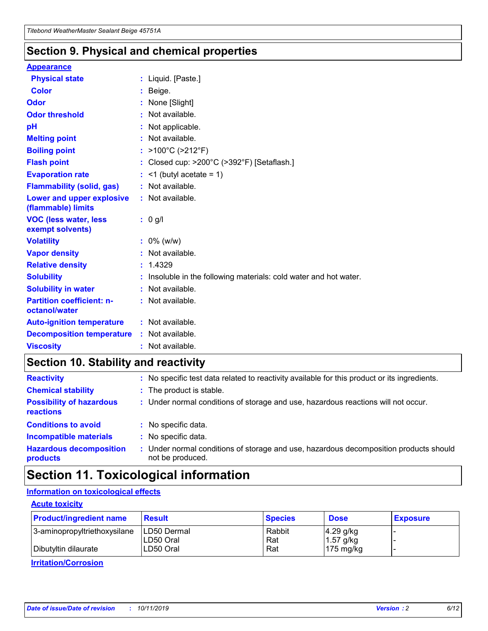### **Section 9. Physical and chemical properties**

#### **Appearance**

| <b>Physical state</b>                                  | : Liquid. [Paste.]                                              |
|--------------------------------------------------------|-----------------------------------------------------------------|
| <b>Color</b>                                           | Beige.                                                          |
| Odor                                                   | None [Slight]                                                   |
| <b>Odor threshold</b>                                  | $:$ Not available.                                              |
| рH                                                     | : Not applicable.                                               |
| <b>Melting point</b>                                   | : Not available.                                                |
| <b>Boiling point</b>                                   | : >100°C (>212°F)                                               |
| <b>Flash point</b>                                     | : Closed cup: >200°C (>392°F) [Setaflash.]                      |
| <b>Evaporation rate</b>                                | $:$ <1 (butyl acetate = 1)                                      |
| <b>Flammability (solid, gas)</b>                       | : Not available.                                                |
| <b>Lower and upper explosive</b><br>(flammable) limits | : Not available.                                                |
| <b>VOC (less water, less</b><br>exempt solvents)       | $: 0$ g/l                                                       |
| <b>Volatility</b>                                      | $: 0\%$ (w/w)                                                   |
| <b>Vapor density</b>                                   | : Not available.                                                |
| <b>Relative density</b>                                | : 1.4329                                                        |
| <b>Solubility</b>                                      | Insoluble in the following materials: cold water and hot water. |
| <b>Solubility in water</b>                             | : Not available.                                                |
| <b>Partition coefficient: n-</b><br>octanol/water      | : Not available.                                                |
|                                                        |                                                                 |
| <b>Auto-ignition temperature</b>                       | : Not available.                                                |
| <b>Decomposition temperature</b>                       | : Not available.                                                |

### **Section 10. Stability and reactivity**

| <b>Reactivity</b>                            |    | : No specific test data related to reactivity available for this product or its ingredients.            |
|----------------------------------------------|----|---------------------------------------------------------------------------------------------------------|
| <b>Chemical stability</b>                    |    | : The product is stable.                                                                                |
| <b>Possibility of hazardous</b><br>reactions |    | : Under normal conditions of storage and use, hazardous reactions will not occur.                       |
| <b>Conditions to avoid</b>                   |    | : No specific data.                                                                                     |
| <b>Incompatible materials</b>                | ٠. | No specific data.                                                                                       |
| <b>Hazardous decomposition</b><br>products   | ÷. | Under normal conditions of storage and use, hazardous decomposition products should<br>not be produced. |

## **Section 11. Toxicological information**

### **Information on toxicological effects**

### **Acute toxicity**

| <b>Product/ingredient name</b> | <b>Result</b>           | <b>Species</b> | <b>Dose</b>                | <b>Exposure</b> |
|--------------------------------|-------------------------|----------------|----------------------------|-----------------|
| 3-aminopropyltriethoxysilane   | <b>ILD50 Dermal</b>     | Rabbit         | 4.29 g/kg                  |                 |
| Dibutyltin dilaurate           | ILD50 Oral<br>LD50 Oral | Rat<br>Rat     | $1.57$ g/kg<br>175 $mg/kg$ |                 |
|                                |                         |                |                            |                 |

**Irritation/Corrosion**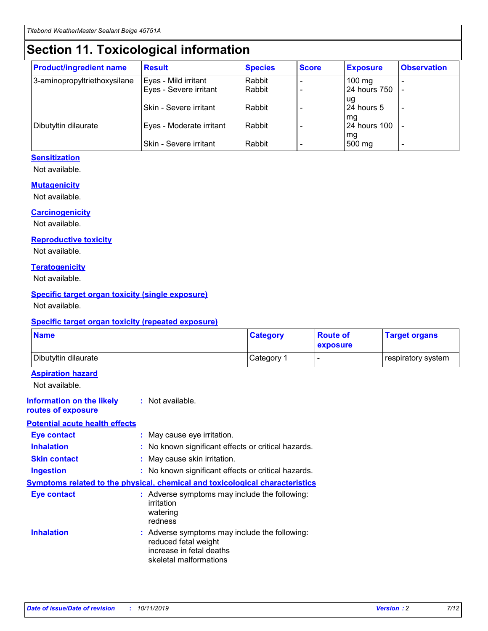## **Section 11. Toxicological information**

| <b>Product/ingredient name</b> | <b>Result</b>            | <b>Species</b> | <b>Score</b> | <b>Exposure</b>           | <b>Observation</b> |
|--------------------------------|--------------------------|----------------|--------------|---------------------------|--------------------|
| 3-aminopropyltriethoxysilane   | Eyes - Mild irritant     | Rabbit         |              | $100$ mg                  |                    |
|                                | Eyes - Severe irritant   | Rabbit         |              | 24 hours 750              |                    |
|                                |                          |                |              | ug                        |                    |
|                                | Skin - Severe irritant   | Rabbit         |              | 24 hours 5                | -                  |
| Dibutyltin dilaurate           | Eyes - Moderate irritant | Rabbit         |              | mg<br><b>24 hours 100</b> |                    |
|                                |                          |                |              | mg                        |                    |
|                                | Skin - Severe irritant   | Rabbit         |              | 500 mg                    | -                  |

### **Sensitization**

Not available.

### **Mutagenicity**

Not available.

#### **Carcinogenicity**

Not available.

#### **Reproductive toxicity**

Not available.

#### **Teratogenicity**

Not available.

### **Specific target organ toxicity (single exposure)**

Not available.

#### **Specific target organ toxicity (repeated exposure)**

| <b>Name</b>                                                                         |                                                                            | <b>Category</b>                                     | <b>Route of</b><br>exposure | <b>Target organs</b> |
|-------------------------------------------------------------------------------------|----------------------------------------------------------------------------|-----------------------------------------------------|-----------------------------|----------------------|
| Dibutyltin dilaurate                                                                |                                                                            | Category 1                                          |                             | respiratory system   |
| <b>Aspiration hazard</b><br>Not available.                                          |                                                                            |                                                     |                             |                      |
| <b>Information on the likely</b><br>routes of exposure                              | : Not available.                                                           |                                                     |                             |                      |
| <b>Potential acute health effects</b>                                               |                                                                            |                                                     |                             |                      |
| <b>Eye contact</b>                                                                  | : May cause eye irritation.                                                |                                                     |                             |                      |
| <b>Inhalation</b>                                                                   |                                                                            | : No known significant effects or critical hazards. |                             |                      |
| <b>Skin contact</b>                                                                 | : May cause skin irritation.                                               |                                                     |                             |                      |
| <b>Ingestion</b>                                                                    |                                                                            | : No known significant effects or critical hazards. |                             |                      |
| <b>Symptoms related to the physical, chemical and toxicological characteristics</b> |                                                                            |                                                     |                             |                      |
| <b>Eye contact</b>                                                                  | irritation<br>watering<br>redness                                          | : Adverse symptoms may include the following:       |                             |                      |
| <b>Inhalation</b>                                                                   | reduced fetal weight<br>increase in fetal deaths<br>skeletal malformations | : Adverse symptoms may include the following:       |                             |                      |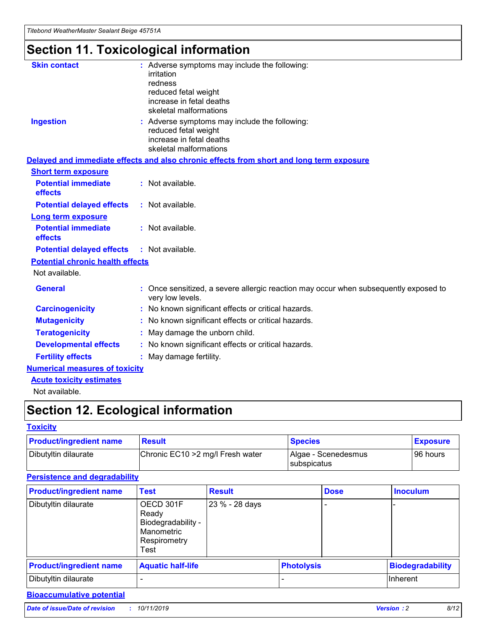## **Section 11. Toxicological information**

| <b>Skin contact</b>                     | : Adverse symptoms may include the following:                                                            |
|-----------------------------------------|----------------------------------------------------------------------------------------------------------|
|                                         | irritation                                                                                               |
|                                         | redness                                                                                                  |
|                                         | reduced fetal weight                                                                                     |
|                                         | increase in fetal deaths                                                                                 |
|                                         | skeletal malformations                                                                                   |
| <b>Ingestion</b>                        | : Adverse symptoms may include the following:                                                            |
|                                         | reduced fetal weight                                                                                     |
|                                         | increase in fetal deaths                                                                                 |
|                                         | skeletal malformations                                                                                   |
|                                         | Delayed and immediate effects and also chronic effects from short and long term exposure                 |
| <b>Short term exposure</b>              |                                                                                                          |
| <b>Potential immediate</b>              | : Not available.                                                                                         |
| effects                                 |                                                                                                          |
| <b>Potential delayed effects</b>        | : Not available.                                                                                         |
| Long term exposure                      |                                                                                                          |
| <b>Potential immediate</b>              | : Not available.                                                                                         |
| effects                                 |                                                                                                          |
| <b>Potential delayed effects</b>        | : Not available.                                                                                         |
| <b>Potential chronic health effects</b> |                                                                                                          |
| Not available.                          |                                                                                                          |
| <b>General</b>                          | : Once sensitized, a severe allergic reaction may occur when subsequently exposed to<br>very low levels. |
| <b>Carcinogenicity</b>                  | : No known significant effects or critical hazards.                                                      |
| <b>Mutagenicity</b>                     | No known significant effects or critical hazards.                                                        |
| <b>Teratogenicity</b>                   | May damage the unborn child.                                                                             |
| <b>Developmental effects</b>            | No known significant effects or critical hazards.                                                        |
| <b>Fertility effects</b>                | : May damage fertility.                                                                                  |
| <b>Numerical measures of toxicity</b>   |                                                                                                          |
| <b>Acute toxicity estimates</b>         |                                                                                                          |
|                                         |                                                                                                          |

Not available.

## **Section 12. Ecological information**

### **Toxicity**

| <b>Product/ingredient name</b> | <b>Result</b>                     | <b>Species</b>                       | <b>Exposure</b> |
|--------------------------------|-----------------------------------|--------------------------------------|-----------------|
| Dibutyltin dilaurate           | Chronic EC10 > 2 mg/l Fresh water | Algae - Scenedesmus<br>I subspicatus | l 96 hours      |

### **Persistence and degradability**

| <b>Product/ingredient name</b> | <b>Test</b>                                                                    | <b>Result</b>  |                   | <b>Dose</b> | <b>Inoculum</b>         |
|--------------------------------|--------------------------------------------------------------------------------|----------------|-------------------|-------------|-------------------------|
| Dibutyltin dilaurate           | OECD 301F<br>Ready<br>Biodegradability -<br>Manometric<br>Respirometry<br>Test | 23 % - 28 days |                   |             |                         |
| <b>Product/ingredient name</b> | <b>Aquatic half-life</b>                                                       |                | <b>Photolysis</b> |             | <b>Biodegradability</b> |
| Dibutyltin dilaurate           |                                                                                |                |                   |             | Inherent                |

### **Bioaccumulative potential**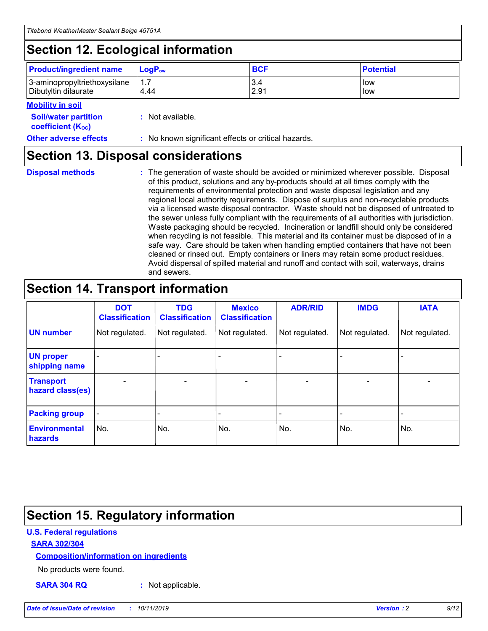## **Section 12. Ecological information**

| <b>Product/ingredient name</b> | $LoaPow$ | <b>BCF</b> | <b>Potential</b> |
|--------------------------------|----------|------------|------------------|
| 3-aminopropyltriethoxysilane   | 1.7      | 3.4        | low              |
| Dibutyltin dilaurate           | 4.44     | 2.91       | low              |

### **Mobility in soil**

| <i></i>                                                       |                                                     |
|---------------------------------------------------------------|-----------------------------------------------------|
| <b>Soil/water partition</b><br>coefficient (K <sub>oc</sub> ) | : Not available.                                    |
| <b>Other adverse effects</b>                                  | : No known significant effects or critical hazards. |

### **Section 13. Disposal considerations**

**Disposal methods :**

The generation of waste should be avoided or minimized wherever possible. Disposal of this product, solutions and any by-products should at all times comply with the requirements of environmental protection and waste disposal legislation and any regional local authority requirements. Dispose of surplus and non-recyclable products via a licensed waste disposal contractor. Waste should not be disposed of untreated to the sewer unless fully compliant with the requirements of all authorities with jurisdiction. Waste packaging should be recycled. Incineration or landfill should only be considered when recycling is not feasible. This material and its container must be disposed of in a safe way. Care should be taken when handling emptied containers that have not been cleaned or rinsed out. Empty containers or liners may retain some product residues. Avoid dispersal of spilled material and runoff and contact with soil, waterways, drains and sewers.

## **Section 14. Transport information**

|                                      | <b>DOT</b><br><b>Classification</b> | <b>TDG</b><br><b>Classification</b> | <b>Mexico</b><br><b>Classification</b> | <b>ADR/RID</b> | <b>IMDG</b>              | <b>IATA</b>              |
|--------------------------------------|-------------------------------------|-------------------------------------|----------------------------------------|----------------|--------------------------|--------------------------|
| <b>UN number</b>                     | Not regulated.                      | Not regulated.                      | Not regulated.                         | Not regulated. | Not regulated.           | Not regulated.           |
| <b>UN proper</b><br>shipping name    | $\blacksquare$                      |                                     |                                        |                |                          |                          |
| <b>Transport</b><br>hazard class(es) | $\blacksquare$                      | $\overline{\phantom{a}}$            | $\blacksquare$                         | $\blacksquare$ | $\overline{\phantom{a}}$ | $\overline{\phantom{0}}$ |
| <b>Packing group</b>                 | $\overline{\phantom{a}}$            | $\overline{\phantom{0}}$            | $\overline{\phantom{a}}$               | -              | $\overline{\phantom{0}}$ | $\overline{\phantom{a}}$ |
| <b>Environmental</b><br>hazards      | No.                                 | No.                                 | No.                                    | No.            | No.                      | No.                      |

## **Section 15. Regulatory information**

### **U.S. Federal regulations**

### **SARA 302/304**

### **Composition/information on ingredients**

No products were found.

**SARA 304 RQ :** Not applicable.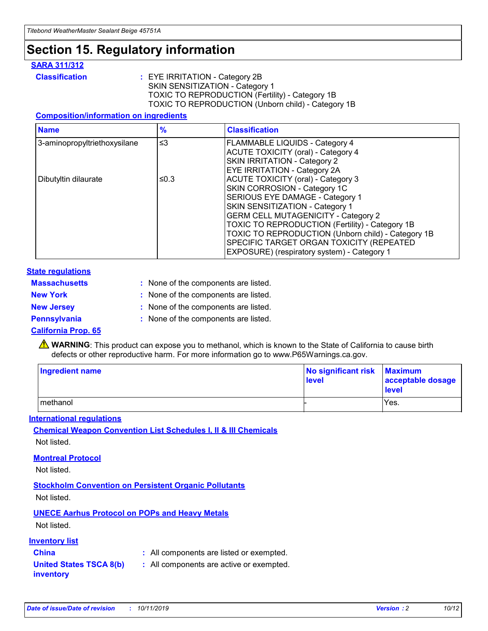## **Section 15. Regulatory information**

### **SARA 311/312**

**Classification :** EYE IRRITATION - Category 2B SKIN SENSITIZATION - Category 1 TOXIC TO REPRODUCTION (Fertility) - Category 1B TOXIC TO REPRODUCTION (Unborn child) - Category 1B

### **Composition/information on ingredients**

| <b>Name</b>                  | $\frac{9}{6}$ | <b>Classification</b>                                                                                            |
|------------------------------|---------------|------------------------------------------------------------------------------------------------------------------|
| 3-aminopropyltriethoxysilane | $\leq$ 3      | <b>FLAMMABLE LIQUIDS - Category 4</b><br><b>ACUTE TOXICITY (oral) - Category 4</b>                               |
|                              |               | SKIN IRRITATION - Category 2<br>EYE IRRITATION - Category 2A                                                     |
| Dibutyltin dilaurate         | ≤0.3          | ACUTE TOXICITY (oral) - Category 3<br>SKIN CORROSION - Category 1C                                               |
|                              |               | SERIOUS EYE DAMAGE - Category 1<br>SKIN SENSITIZATION - Category 1<br><b>GERM CELL MUTAGENICITY - Category 2</b> |
|                              |               | TOXIC TO REPRODUCTION (Fertility) - Category 1B<br>TOXIC TO REPRODUCTION (Unborn child) - Category 1B            |
|                              |               | SPECIFIC TARGET ORGAN TOXICITY (REPEATED<br>EXPOSURE) (respiratory system) - Category 1                          |

#### **State regulations**

| <b>Massachusetts</b> | : None of the components are listed. |
|----------------------|--------------------------------------|
| <b>New York</b>      | : None of the components are listed. |
| <b>New Jersey</b>    | : None of the components are listed. |
| <b>Pennsylvania</b>  | : None of the components are listed. |

#### **California Prop. 65**

**A** WARNING: This product can expose you to methanol, which is known to the State of California to cause birth defects or other reproductive harm. For more information go to www.P65Warnings.ca.gov.

| <b>Ingredient name</b> | No significant risk Maximum<br>level | acceptable dosage<br>level |
|------------------------|--------------------------------------|----------------------------|
| methanol               |                                      | Yes.                       |

#### **International regulations**

**Chemical Weapon Convention List Schedules I, II & III Chemicals** Not listed.

#### **Montreal Protocol**

Not listed.

**Stockholm Convention on Persistent Organic Pollutants**

Not listed.

### **UNECE Aarhus Protocol on POPs and Heavy Metals**

Not listed.

### **Inventory list**

### **China :** All components are listed or exempted.

**United States TSCA 8(b) inventory :** All components are active or exempted.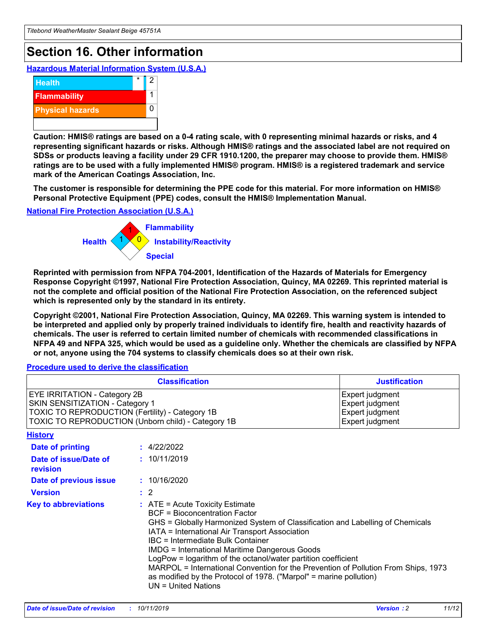## **Section 16. Other information**

**Hazardous Material Information System (U.S.A.)**



**Caution: HMIS® ratings are based on a 0-4 rating scale, with 0 representing minimal hazards or risks, and 4 representing significant hazards or risks. Although HMIS® ratings and the associated label are not required on SDSs or products leaving a facility under 29 CFR 1910.1200, the preparer may choose to provide them. HMIS® ratings are to be used with a fully implemented HMIS® program. HMIS® is a registered trademark and service mark of the American Coatings Association, Inc.**

**The customer is responsible for determining the PPE code for this material. For more information on HMIS® Personal Protective Equipment (PPE) codes, consult the HMIS® Implementation Manual.**

#### **National Fire Protection Association (U.S.A.)**



**Reprinted with permission from NFPA 704-2001, Identification of the Hazards of Materials for Emergency Response Copyright ©1997, National Fire Protection Association, Quincy, MA 02269. This reprinted material is not the complete and official position of the National Fire Protection Association, on the referenced subject which is represented only by the standard in its entirety.**

**Copyright ©2001, National Fire Protection Association, Quincy, MA 02269. This warning system is intended to be interpreted and applied only by properly trained individuals to identify fire, health and reactivity hazards of chemicals. The user is referred to certain limited number of chemicals with recommended classifications in NFPA 49 and NFPA 325, which would be used as a guideline only. Whether the chemicals are classified by NFPA or not, anyone using the 704 systems to classify chemicals does so at their own risk.**

**Procedure used to derive the classification**

| <b>Classification</b>                                                                                                                                                    |                                                                                                                                                  | <b>Justification</b>                                                                                                                                                                                                                                                                                                                                                                                                 |  |
|--------------------------------------------------------------------------------------------------------------------------------------------------------------------------|--------------------------------------------------------------------------------------------------------------------------------------------------|----------------------------------------------------------------------------------------------------------------------------------------------------------------------------------------------------------------------------------------------------------------------------------------------------------------------------------------------------------------------------------------------------------------------|--|
| EYE IRRITATION - Category 2B<br>SKIN SENSITIZATION - Category 1<br>TOXIC TO REPRODUCTION (Fertility) - Category 1B<br>TOXIC TO REPRODUCTION (Unborn child) - Category 1B |                                                                                                                                                  | Expert judgment<br>Expert judgment<br>Expert judgment<br>Expert judgment                                                                                                                                                                                                                                                                                                                                             |  |
| <b>History</b>                                                                                                                                                           |                                                                                                                                                  |                                                                                                                                                                                                                                                                                                                                                                                                                      |  |
| Date of printing                                                                                                                                                         | : 4/22/2022                                                                                                                                      |                                                                                                                                                                                                                                                                                                                                                                                                                      |  |
| Date of issue/Date of<br>revision                                                                                                                                        | : 10/11/2019                                                                                                                                     |                                                                                                                                                                                                                                                                                                                                                                                                                      |  |
| Date of previous issue                                                                                                                                                   | : 10/16/2020                                                                                                                                     |                                                                                                                                                                                                                                                                                                                                                                                                                      |  |
| <b>Version</b>                                                                                                                                                           | $\therefore$ 2                                                                                                                                   |                                                                                                                                                                                                                                                                                                                                                                                                                      |  |
| <b>Key to abbreviations</b>                                                                                                                                              | $\therefore$ ATE = Acute Toxicity Estimate<br><b>BCF</b> = Bioconcentration Factor<br>IBC = Intermediate Bulk Container<br>$UN = United Nations$ | GHS = Globally Harmonized System of Classification and Labelling of Chemicals<br>IATA = International Air Transport Association<br><b>IMDG = International Maritime Dangerous Goods</b><br>LogPow = logarithm of the octanol/water partition coefficient<br>MARPOL = International Convention for the Prevention of Pollution From Ships, 1973<br>as modified by the Protocol of 1978. ("Marpol" = marine pollution) |  |